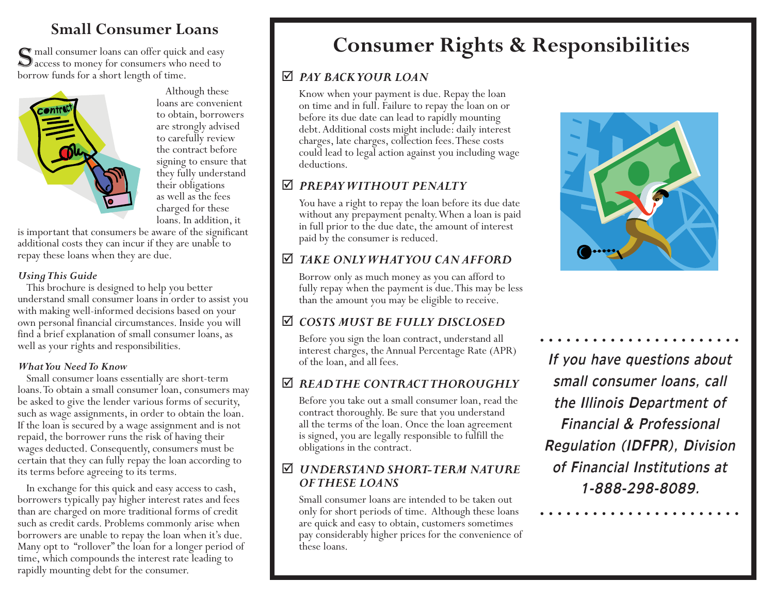## **Small Consumer Loans**

 $S$  mall consumer loans can offer quick and easy<br>access to money for consumers who need to borrow funds for a short length of time.



Although these loans are convenient to obtain, borrowers are strongly advised to carefully review the contract before signing to ensure that they fully understand their obligations as well as the fees charged for these loans. In addition, it

is important that consumers be aware of the significant additional costs they can incur if they are unable to repay these loans when they are due.

#### *Using This Guide*

This brochure is designed to help you better understand small consumer loans in order to assist you with making well-informed decisions based on your own personal financial circumstances. Inside you will find a brief explanation of small consumer loans, as well as your rights and responsibilities.

#### *What You Need To Know*

Small consumer loans essentially are short-term loans. To obtain a small consumer loan, consumers may be asked to give the lender various forms of security, such as wage assignments, in order to obtain the loan. If the loan is secured by a wage assignment and is not repaid, the borrower runs the risk of having their wages deducted. Consequently, consumers must be certain that they can fully repay the loan according to its terms before agreeing to its terms.

In exchange for this quick and easy access to cash, borrowers typically pay higher interest rates and fees than are charged on more traditional forms of credit such as credit cards. Problems commonly arise when borrowers are unable to repay the loan when it's due. Many opt to "rollover" the loan for a longer period of time, which compounds the interest rate leading to rapidly mounting debt for the consumer.

# **Consumer Rights & Responsibilities**

#### ; *PAY BACK YOUR LOAN*

 Know when your payment is due. Repay the loan on time and in full. Failure to repay the loan on or before its due date can lead to rapidly mounting debt. Additional costs might include: daily interest charges, late charges, collection fees. These costs could lead to legal action against you including wage deductions.

#### ; *PREPAY WITHOUT PENALTY*

 You have a right to repay the loan before its due date without any prepayment penalty. When a loan is paid in full prior to the due date, the amount of interest paid by the consumer is reduced.

#### ; *TAKE ONLY WHAT YOU CAN AFFORD*

 Borrow only as much money as you can afford to fully repay when the payment is due. This may be less than the amount you may be eligible to receive.

#### ; *COSTS MUST BE FULLY DISCLOSED*

 Before you sign the loan contract, understand all interest charges, the Annual Percentage Rate (APR) of the loan, and all fees.

#### ; *READ THE CONTRACT THOROUGHLY*

 Before you take out a small consumer loan, read the contract thoroughly. Be sure that you understand all the terms of the loan. Once the loan agreement is signed, you are legally responsible to fulfill the obligations in the contract.

#### ; *UNDERSTAND SHORT-TERM NATURE OF THESE LOANS*

 Small consumer loans are intended to be taken out only for short periods of time. Although these loans are quick and easy to obtain, customers sometimes pay considerably higher prices for the convenience of these loans.



*If you have questions about small consumer loans, call the Illinois Department of Financial & Professional Regulation (IDFPR), Division of Financial Institutions at 1-888-298-8089.*